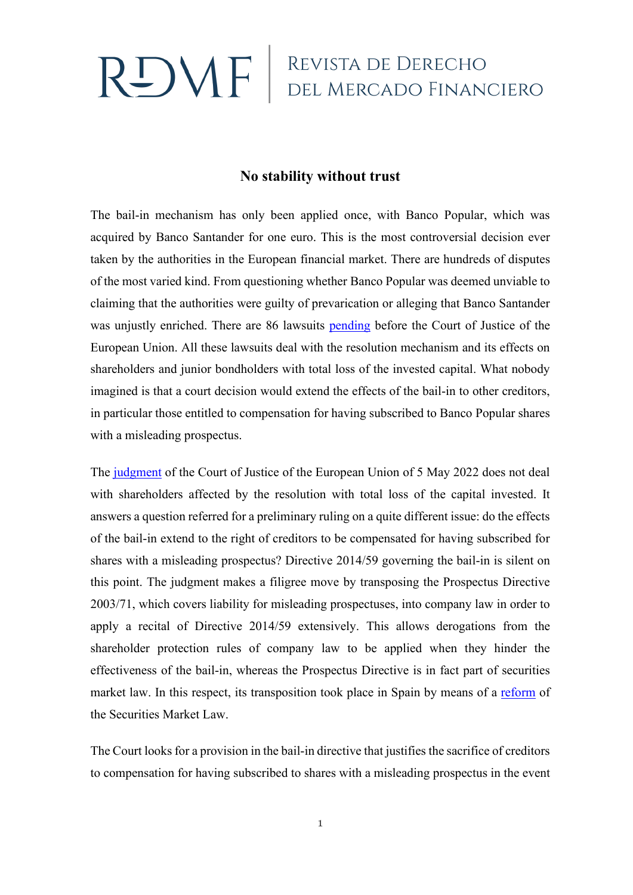## $\mathsf{R} \mathsf{D} \mathsf{M} \mathsf{F}$  REVISTA DE DERECHO

## **No stability without trust**

The bail-in mechanism has only been applied once, with Banco Popular, which was acquired by Banco Santander for one euro. This is the most controversial decision ever taken by the authorities in the European financial market. There are hundreds of disputes of the most varied kind. From questioning whether Banco Popular was deemed unviable to claiming that the authorities were guilty of prevarication or alleging that Banco Santander was unjustly enriched. There are 86 lawsuits [pending](https://www.europarl.europa.eu/RegData/etudes/STUD/2019/634392/IPOL_STU(2019)634392_EN.pdf) before the Court of Justice of the European Union. All these lawsuits deal with the resolution mechanism and its effects on shareholders and junior bondholders with total loss of the invested capital. What nobody imagined is that a court decision would extend the effects of the bail-in to other creditors, in particular those entitled to compensation for having subscribed to Banco Popular shares with a misleading prospectus.

The [judgment](https://eur-lex.europa.eu/legal-content/ES/TXT/?uri=CELEX%3A62020CJ0410&qid=1395932669976) of the Court of Justice of the European Union of 5 May 2022 does not deal with shareholders affected by the resolution with total loss of the capital invested. It answers a question referred for a preliminary ruling on a quite different issue: do the effects of the bail-in extend to the right of creditors to be compensated for having subscribed for shares with a misleading prospectus? Directive 2014/59 governing the bail-in is silent on this point. The judgment makes a filigree move by transposing the Prospectus Directive 2003/71, which covers liability for misleading prospectuses, into company law in order to apply a recital of Directive 2014/59 extensively. This allows derogations from the shareholder protection rules of company law to be applied when they hinder the effectiveness of the bail-in, whereas the Prospectus Directive is in fact part of securities market law. In this respect, its transposition took place in Spain by means of a [reform](https://www.boe.es/buscar/act.php?id=BOE-A-2005-4172&p=20200507&tn=0) of the Securities Market Law.

The Court looks for a provision in the bail-in directive that justifies the sacrifice of creditors to compensation for having subscribed to shares with a misleading prospectus in the event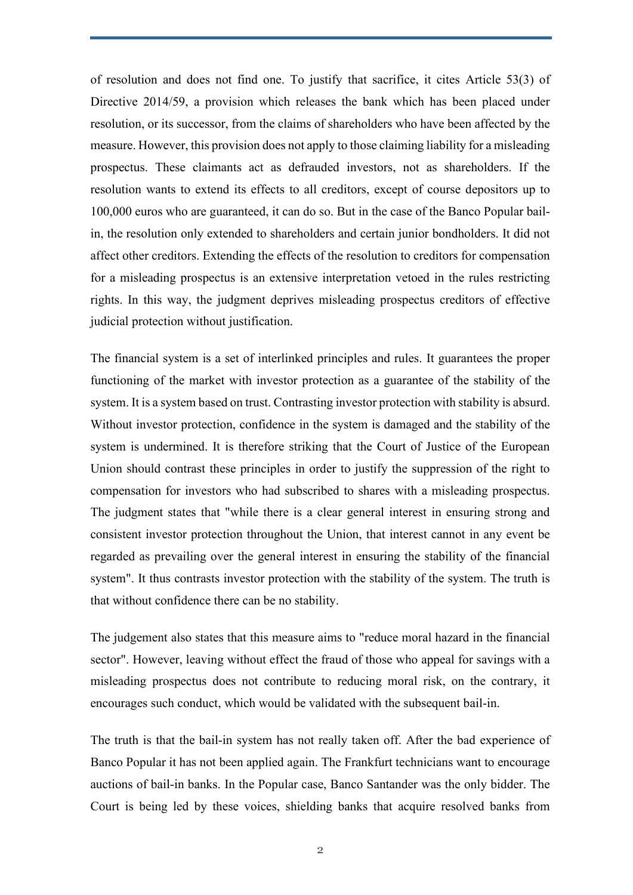of resolution and does not find one. To justify that sacrifice, it cites Article 53(3) of Directive 2014/59, a provision which releases the bank which has been placed under resolution, or its successor, from the claims of shareholders who have been affected by the measure. However, this provision does not apply to those claiming liability for a misleading prospectus. These claimants act as defrauded investors, not as shareholders. If the resolution wants to extend its effects to all creditors, except of course depositors up to 100,000 euros who are guaranteed, it can do so. But in the case of the Banco Popular bailin, the resolution only extended to shareholders and certain junior bondholders. It did not affect other creditors. Extending the effects of the resolution to creditors for compensation for a misleading prospectus is an extensive interpretation vetoed in the rules restricting rights. In this way, the judgment deprives misleading prospectus creditors of effective judicial protection without justification.

The financial system is a set of interlinked principles and rules. It guarantees the proper functioning of the market with investor protection as a guarantee of the stability of the system. It is a system based on trust. Contrasting investor protection with stability is absurd. Without investor protection, confidence in the system is damaged and the stability of the system is undermined. It is therefore striking that the Court of Justice of the European Union should contrast these principles in order to justify the suppression of the right to compensation for investors who had subscribed to shares with a misleading prospectus. The judgment states that "while there is a clear general interest in ensuring strong and consistent investor protection throughout the Union, that interest cannot in any event be regarded as prevailing over the general interest in ensuring the stability of the financial system". It thus contrasts investor protection with the stability of the system. The truth is that without confidence there can be no stability.

The judgement also states that this measure aims to "reduce moral hazard in the financial sector". However, leaving without effect the fraud of those who appeal for savings with a misleading prospectus does not contribute to reducing moral risk, on the contrary, it encourages such conduct, which would be validated with the subsequent bail-in.

The truth is that the bail-in system has not really taken off. After the bad experience of Banco Popular it has not been applied again. The Frankfurt technicians want to encourage auctions of bail-in banks. In the Popular case, Banco Santander was the only bidder. The Court is being led by these voices, shielding banks that acquire resolved banks from